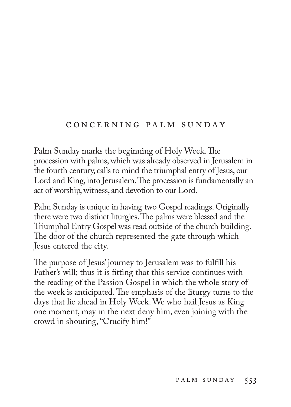### c o n c e r n i n g pa l m s u n d ay

Palm Sunday marks the beginning of Holy Week. The procession with palms, which was already observed in Jerusalem in the fourth century, calls to mind the triumphal entry of Jesus, our Lord and King, into Jerusalem. The procession is fundamentally an act of worship, witness, and devotion to our Lord.

Palm Sunday is unique in having two Gospel readings. Originally there were two distinct liturgies. The palms were blessed and the Triumphal Entry Gospel was read outside of the church building. The door of the church represented the gate through which Jesus entered the city.

The purpose of Jesus' journey to Jerusalem was to fulfill his Father's will; thus it is fitting that this service continues with the reading of the Passion Gospel in which the whole story of the week is anticipated. The emphasis of the liturgy turns to the days that lie ahead in Holy Week. We who hail Jesus as King one moment, may in the next deny him, even joining with the crowd in shouting, "Crucify him!"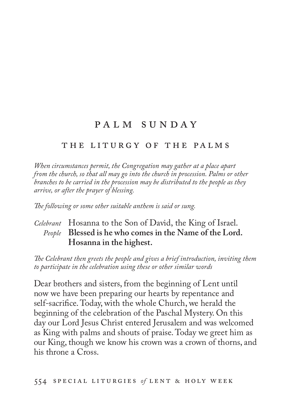# PALM SUNDAY

### THE LITURGY OF THE PALMS

*When circumstances permit, the Congregation may gather at a place apart from the church, so that all may go into the church in procession. Palms or other branches to be carried in the procession may be distributed to the people as they arrive, or after the prayer of blessing.*

*The following or some other suitable anthem is said or sung.*

# *Celebrant* Hosanna to the Son of David, the King of Israel. *People* **Blessed is he who comes in the Name of the Lord. Hosanna in the highest.**

*The Celebrant then greets the people and gives a brief introduction, inviting them to participate in the celebration using these or other similar words*

Dear brothers and sisters, from the beginning of Lent until now we have been preparing our hearts by repentance and self-sacrifice. Today, with the whole Church, we herald the beginning of the celebration of the Paschal Mystery. On this day our Lord Jesus Christ entered Jerusalem and was welcomed as King with palms and shouts of praise. Today we greet him as our King, though we know his crown was a crown of thorns, and his throne a Cross.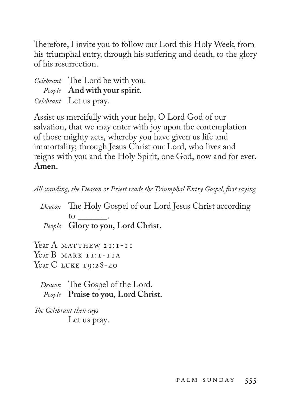Therefore, I invite you to follow our Lord this Holy Week, from his triumphal entry, through his suffering and death, to the glory of his resurrection.

| Celebrant The Lord be with you. |
|---------------------------------|
| People And with your spirit.    |
| Celebrant Let us pray.          |

Assist us mercifully with your help, O Lord God of our salvation, that we may enter with joy upon the contemplation of those mighty acts, whereby you have given us life and immortality; through Jesus Christ our Lord, who lives and reigns with you and the Holy Spirit, one God, now and for ever. **Amen.**

*All standing, the Deacon or Priest reads the Triumphal Entry Gospel, first saying*

*Deacon* The Holy Gospel of our Lord Jesus Christ according to \_\_\_\_\_\_\_\_. *People* **Glory to you, Lord Christ.**

Year A MATTHEW 21:1-11 Year B MARK II: I-IIA Year C LUKE 19:28-40

*Deacon* The Gospel of the Lord. *People* **Praise to you, Lord Christ.**

*The Celebrant then says*  Let us pray.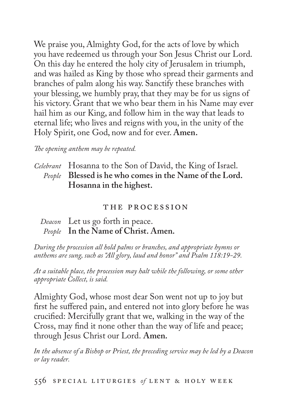We praise you, Almighty God, for the acts of love by which you have redeemed us through your Son Jesus Christ our Lord. On this day he entered the holy city of Jerusalem in triumph, and was hailed as King by those who spread their garments and branches of palm along his way. Sanctify these branches with your blessing, we humbly pray, that they may be for us signs of his victory. Grant that we who bear them in his Name may ever hail him as our King, and follow him in the way that leads to eternal life; who lives and reigns with you, in the unity of the Holy Spirit, one God, now and for ever. **Amen.**

#### *The opening anthem may be repeated.*

*Celebrant* Hosanna to the Son of David, the King of Israel. *People* **Blessed is he who comes in the Name of the Lord. Hosanna in the highest.**

#### the procession

## *Deacon* Let us go forth in peace. *People* **In the Name of Christ. Amen.**

*During the procession all hold palms or branches, and appropriate hymns or anthems are sung, such as "All glory, laud and honor" and Psalm 118:19-29.*

*At a suitable place, the procession may halt while the following, or some other appropriate Collect, is said.*

Almighty God, whose most dear Son went not up to joy but first he suffered pain, and entered not into glory before he was crucified: Mercifully grant that we, walking in the way of the Cross, may find it none other than the way of life and peace; through Jesus Christ our Lord. **Amen.**

*In the absence of a Bishop or Priest, the preceding service may be led by a Deacon or lay reader.*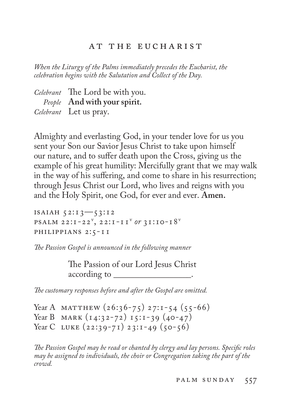### AT THE EUCHARIST

*When the Liturgy of the Palms immediately precedes the Eucharist, the celebration begins with the Salutation and Collect of the Day.*

| Celebrant The Lord be with you. |
|---------------------------------|
| People And with your spirit.    |
| Celebrant Let us pray.          |

Almighty and everlasting God, in your tender love for us you sent your Son our Savior Jesus Christ to take upon himself our nature, and to suffer death upon the Cross, giving us the example of his great humility: Mercifully grant that we may walk in the way of his suffering, and come to share in his resurrection; through Jesus Christ our Lord, who lives and reigns with you and the Holy Spirit, one God, for ever and ever. **Amen.**

isaiah 52:13—53:12 psalm 22:1-22v , 22:1-11v *or* 31:10-18v philippians 2:5-11

*The Passion Gospel is announced in the following manner*

The Passion of our Lord Jesus Christ according to \_\_\_\_\_\_\_\_\_\_\_\_\_\_\_\_\_\_.

*The customary responses before and after the Gospel are omitted.*

Year A MATTHEW  $(26:36-75)$  27:1-54  $(55-66)$ Year B MARK (14:32-72) 15:1-39 (40-47) Year C LUKE  $(22:39-71)$   $23:1-49$   $(50-56)$ 

*The Passion Gospel may be read or chanted by clergy and lay persons. Specific roles may be assigned to individuals, the choir or Congregation taking the part of the crowd.*